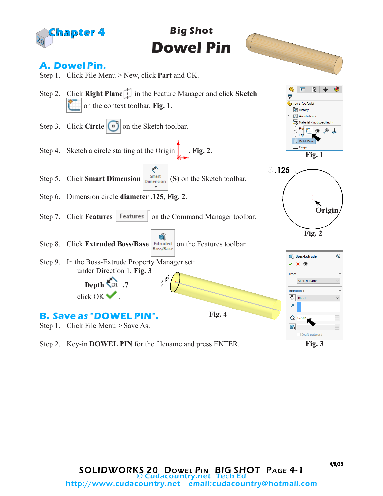

Step 2. Key-in **DOWEL PIN** for the filename and press ENTER.

**Fig. 3**